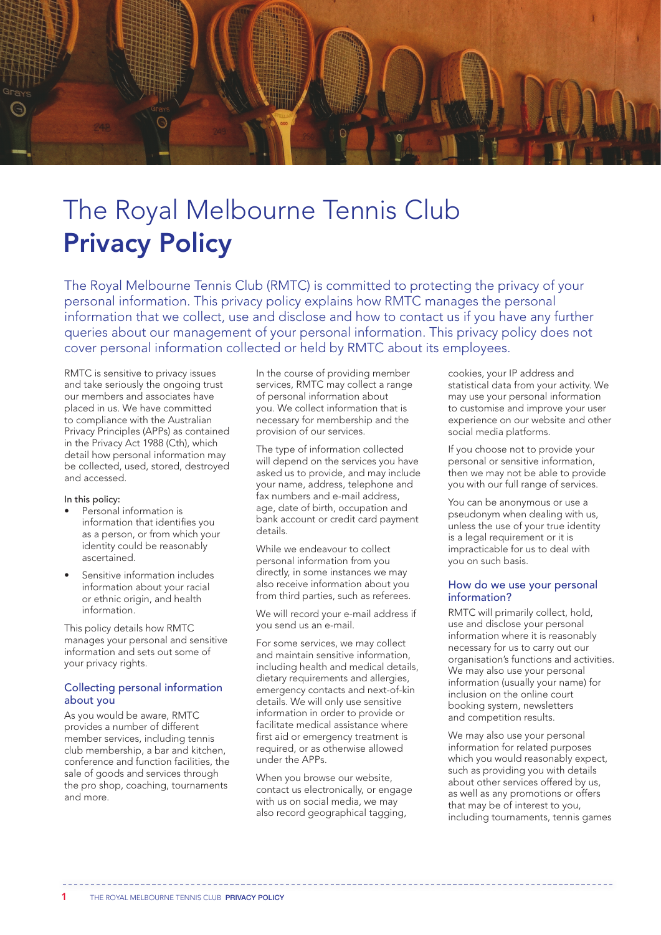

# The Royal Melbourne Tennis Club Privacy Policy

The Royal Melbourne Tennis Club (RMTC) is committed to protecting the privacy of your personal information. This privacy policy explains how RMTC manages the personal information that we collect, use and disclose and how to contact us if you have any further queries about our management of your personal information. This privacy policy does not cover personal information collected or held by RMTC about its employees.

RMTC is sensitive to privacy issues and take seriously the ongoing trust our members and associates have placed in us. We have committed to compliance with the Australian Privacy Principles (APPs) as contained in the Privacy Act 1988 (Cth), which detail how personal information may be collected, used, stored, destroyed and accessed.

### In this policy:

- Personal information is information that identifies you as a person, or from which your identity could be reasonably ascertained.
- Sensitive information includes information about your racial or ethnic origin, and health information.

This policy details how RMTC manages your personal and sensitive information and sets out some of your privacy rights.

## Collecting personal information about you

As you would be aware, RMTC provides a number of different member services, including tennis club membership, a bar and kitchen, conference and function facilities, the sale of goods and services through the pro shop, coaching, tournaments and more.

In the course of providing member services, RMTC may collect a range of personal information about you. We collect information that is necessary for membership and the provision of our services.

The type of information collected will depend on the services you have asked us to provide, and may include your name, address, telephone and fax numbers and e-mail address, age, date of birth, occupation and bank account or credit card payment details.

While we endeavour to collect personal information from you directly, in some instances we may also receive information about you from third parties, such as referees.

We will record your e-mail address if you send us an e-mail.

For some services, we may collect and maintain sensitive information, including health and medical details, dietary requirements and allergies, emergency contacts and next-of-kin details. We will only use sensitive information in order to provide or facilitate medical assistance where first aid or emergency treatment is required, or as otherwise allowed under the APPs.

When you browse our website, contact us electronically, or engage with us on social media, we may also record geographical tagging,

cookies, your IP address and statistical data from your activity. We may use your personal information to customise and improve your user experience on our website and other social media platforms.

If you choose not to provide your personal or sensitive information, then we may not be able to provide you with our full range of services.

You can be anonymous or use a pseudonym when dealing with us, unless the use of your true identity is a legal requirement or it is impracticable for us to deal with you on such basis.

## How do we use your personal information?

RMTC will primarily collect, hold, use and disclose your personal information where it is reasonably necessary for us to carry out our organisation's functions and activities. We may also use your personal information (usually your name) for inclusion on the online court booking system, newsletters and competition results.

We may also use your personal information for related purposes which you would reasonably expect, such as providing you with details about other services offered by us, as well as any promotions or offers that may be of interest to you, including tournaments, tennis games

1 THE ROYAL MELBOURNE TENNIS CLUB PRIVACY POLICY